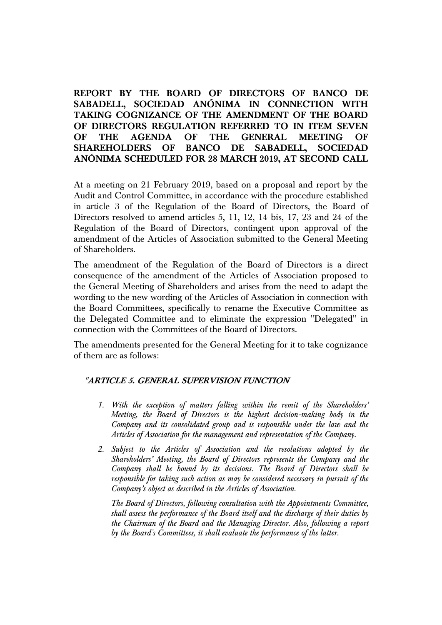# **REPORT BY THE BOARD OF DIRECTORS OF BANCO DE SABADELL, SOCIEDAD ANÓNIMA IN CONNECTION WITH TAKING COGNIZANCE OF THE AMENDMENT OF THE BOARD OF DIRECTORS REGULATION REFERRED TO IN ITEM SEVEN OF THE AGENDA OF THE GENERAL MEETING OF SHAREHOLDERS OF BANCO DE SABADELL, SOCIEDAD ANÓNIMA SCHEDULED FOR 28 MARCH 2019, AT SECOND CALL**

At a meeting on 21 February 2019, based on a proposal and report by the Audit and Control Committee, in accordance with the procedure established in article 3 of the Regulation of the Board of Directors, the Board of Directors resolved to amend articles 5, 11, 12, 14 bis, 17, 23 and 24 of the Regulation of the Board of Directors, contingent upon approval of the amendment of the Articles of Association submitted to the General Meeting of Shareholders.

The amendment of the Regulation of the Board of Directors is a direct consequence of the amendment of the Articles of Association proposed to the General Meeting of Shareholders and arises from the need to adapt the wording to the new wording of the Articles of Association in connection with the Board Committees, specifically to rename the Executive Committee as the Delegated Committee and to eliminate the expression "Delegated" in connection with the Committees of the Board of Directors.

The amendments presented for the General Meeting for it to take cognizance of them are as follows:

# **"ARTICLE 5. GENERAL SUPERVISION FUNCTION**

- *1. With the exception of matters falling within the remit of the Shareholders' Meeting, the Board of Directors is the highest decision-making body in the Company and its consolidated group and is responsible under the law and the Articles of Association for the management and representation of the Company.*
- *2. Subject to the Articles of Association and the resolutions adopted by the Shareholders' Meeting, the Board of Directors represents the Company and the Company shall be bound by its decisions. The Board of Directors shall be responsible for taking such action as may be considered necessary in pursuit of the Company's object as described in the Articles of Association.*

*The Board of Directors, following consultation with the Appointments Committee, shall assess the performance of the Board itself and the discharge of their duties by the Chairman of the Board and the Managing Director. Also, following a report by the Board's Committees, it shall evaluate the performance of the latter.*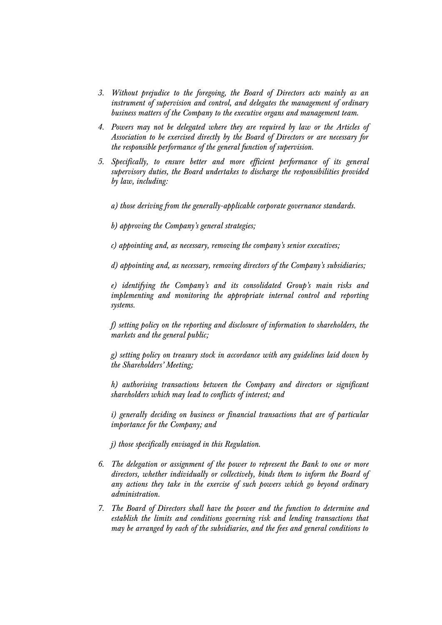- *3. Without prejudice to the foregoing, the Board of Directors acts mainly as an instrument of supervision and control, and delegates the management of ordinary business matters of the Company to the executive organs and management team.*
- *4. Powers may not be delegated where they are required by law or the Articles of Association to be exercised directly by the Board of Directors or are necessary for the responsible performance of the general function of supervision.*
- *5. Specifically, to ensure better and more efficient performance of its general supervisory duties, the Board undertakes to discharge the responsibilities provided by law, including:* 
	- *a) those deriving from the generally-applicable corporate governance standards.*
	- *b) approving the Company's general strategies;*
	- *c) appointing and, as necessary, removing the company's senior executives;*

*d) appointing and, as necessary, removing directors of the Company's subsidiaries;* 

*e) identifying the Company's and its consolidated Group's main risks and implementing and monitoring the appropriate internal control and reporting systems.* 

*f) setting policy on the reporting and disclosure of information to shareholders, the markets and the general public;* 

*g) setting policy on treasury stock in accordance with any guidelines laid down by the Shareholders' Meeting;* 

*h) authorising transactions between the Company and directors or significant shareholders which may lead to conflicts of interest; and* 

*i*) generally deciding on business or financial transactions that are of particular *importance for the Company; and* 

*j) those specifically envisaged in this Regulation.* 

- *6. The delegation or assignment of the power to represent the Bank to one or more directors, whether individually or collectively, binds them to inform the Board of any actions they take in the exercise of such powers which go beyond ordinary administration.*
- *7. The Board of Directors shall have the power and the function to determine and establish the limits and conditions governing risk and lending transactions that may be arranged by each of the subsidiaries, and the fees and general conditions to*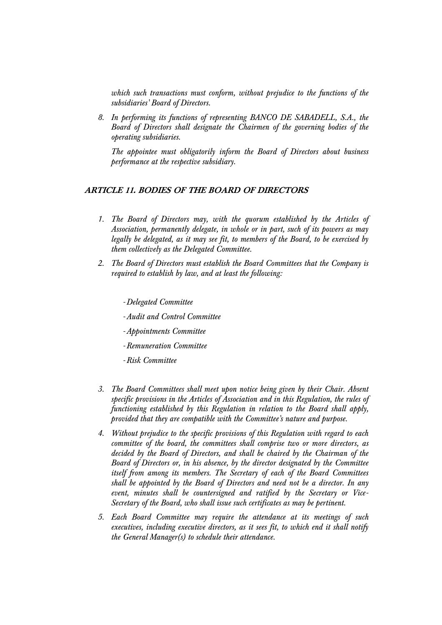*which such transactions must conform, without prejudice to the functions of the subsidiaries' Board of Directors.* 

*8. In performing its functions of representing BANCO DE SABADELL, S.A., the Board of Directors shall designate the Chairmen of the governing bodies of the operating subsidiaries.* 

*The appointee must obligatorily inform the Board of Directors about business performance at the respective subsidiary.* 

### **ARTICLE 11. BODIES OF THE BOARD OF DIRECTORS**

- *1. The Board of Directors may, with the quorum established by the Articles of Association, permanently delegate, in whole or in part, such of its powers as may legally be delegated, as it may see fit, to members of the Board, to be exercised by them collectively as the Delegated Committee.*
- *2. The Board of Directors must establish the Board Committees that the Company is required to establish by law, and at least the following:*

-*Delegated Committee*

- -*Audit and Control Committee*
- -*Appointments Committee*
- -*Remuneration Committee*
- -*Risk Committee*
- *3. The Board Committees shall meet upon notice being given by their Chair. Absent specific provisions in the Articles of Association and in this Regulation, the rules of functioning established by this Regulation in relation to the Board shall apply, provided that they are compatible with the Committee's nature and purpose.*
- *4. Without prejudice to the specific provisions of this Regulation with regard to each committee of the board, the committees shall comprise two or more directors, as decided by the Board of Directors, and shall be chaired by the Chairman of the Board of Directors or, in his absence, by the director designated by the Committee itself from among its members. The Secretary of each of the Board Committees shall be appointed by the Board of Directors and need not be a director. In any event, minutes shall be countersigned and ratified by the Secretary or Vice-Secretary of the Board, who shall issue such certificates as may be pertinent.*
- *5. Each Board Committee may require the attendance at its meetings of such executives, including executive directors, as it sees fit, to which end it shall notify the General Manager(s) to schedule their attendance.*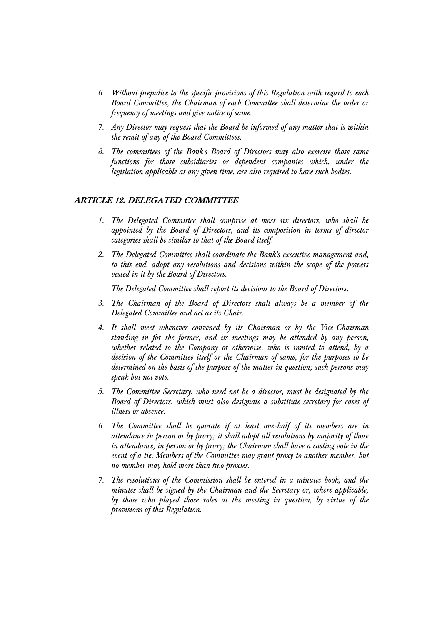- *6. Without prejudice to the specific provisions of this Regulation with regard to each Board Committee, the Chairman of each Committee shall determine the order or frequency of meetings and give notice of same.*
- *7. Any Director may request that the Board be informed of any matter that is within the remit of any of the Board Committees.*
- *8. The committees of the Bank's Board of Directors may also exercise those same functions for those subsidiaries or dependent companies which, under the legislation applicable at any given time, are also required to have such bodies.*

### **ARTICLE 12. DELEGATED COMMITTEE**

- *1. The Delegated Committee shall comprise at most six directors, who shall be appointed by the Board of Directors, and its composition in terms of director categories shall be similar to that of the Board itself.*
- *2. The Delegated Committee shall coordinate the Bank's executive management and, to this end, adopt any resolutions and decisions within the scope of the powers vested in it by the Board of Directors.*

*The Delegated Committee shall report its decisions to the Board of Directors.* 

- *3. The Chairman of the Board of Directors shall always be a member of the Delegated Committee and act as its Chair.*
- *4. It shall meet whenever convened by its Chairman or by the Vice-Chairman standing in for the former, and its meetings may be attended by any person, whether related to the Company or otherwise, who is invited to attend, by a decision of the Committee itself or the Chairman of same, for the purposes to be determined on the basis of the purpose of the matter in question; such persons may speak but not vote.*
- *5. The Committee Secretary, who need not be a director, must be designated by the Board of Directors, which must also designate a substitute secretary for cases of illness or absence.*
- *6. The Committee shall be quorate if at least one-half of its members are in attendance in person or by proxy; it shall adopt all resolutions by majority of those in attendance, in person or by proxy; the Chairman shall have a casting vote in the event of a tie. Members of the Committee may grant proxy to another member, but no member may hold more than two proxies.*
- *7. The resolutions of the Commission shall be entered in a minutes book, and the minutes shall be signed by the Chairman and the Secretary or, where applicable, by those who played those roles at the meeting in question, by virtue of the provisions of this Regulation.*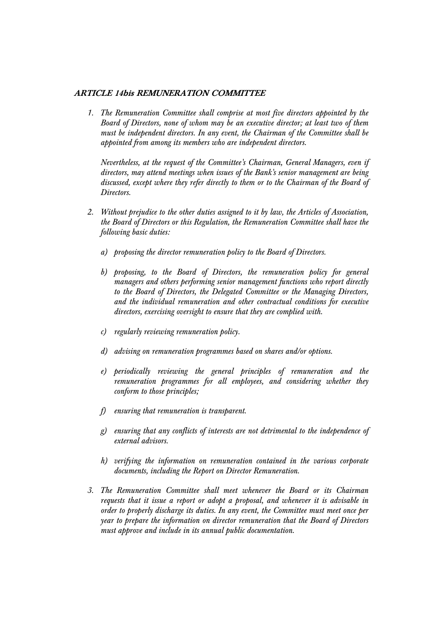## **ARTICLE 14bis REMUNERATION COMMITTEE**

*1. The Remuneration Committee shall comprise at most five directors appointed by the Board of Directors, none of whom may be an executive director; at least two of them must be independent directors. In any event, the Chairman of the Committee shall be appointed from among its members who are independent directors.* 

*Nevertheless, at the request of the Committee's Chairman, General Managers, even if directors, may attend meetings when issues of the Bank's senior management are being discussed, except where they refer directly to them or to the Chairman of the Board of Directors.* 

- *2. Without prejudice to the other duties assigned to it by law, the Articles of Association, the Board of Directors or this Regulation, the Remuneration Committee shall have the following basic duties:* 
	- *a) proposing the director remuneration policy to the Board of Directors.*
	- *b) proposing, to the Board of Directors, the remuneration policy for general managers and others performing senior management functions who report directly to the Board of Directors, the Delegated Committee or the Managing Directors, and the individual remuneration and other contractual conditions for executive directors, exercising oversight to ensure that they are complied with.*
	- *c) regularly reviewing remuneration policy.*
	- *d) advising on remuneration programmes based on shares and/or options.*
	- *e) periodically reviewing the general principles of remuneration and the remuneration programmes for all employees, and considering whether they conform to those principles;*
	- *f) ensuring that remuneration is transparent.*
	- *g) ensuring that any conflicts of interests are not detrimental to the independence of external advisors.*
	- *h) verifying the information on remuneration contained in the various corporate documents, including the Report on Director Remuneration.*
- *3. The Remuneration Committee shall meet whenever the Board or its Chairman requests that it issue a report or adopt a proposal, and whenever it is advisable in order to properly discharge its duties. In any event, the Committee must meet once per year to prepare the information on director remuneration that the Board of Directors must approve and include in its annual public documentation.*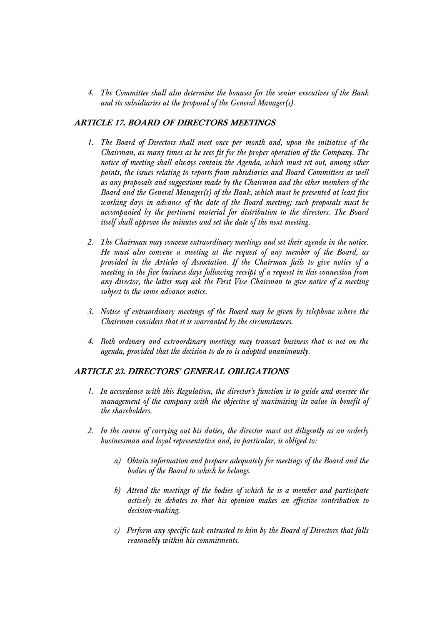*4. The Committee shall also determine the bonuses for the senior executives of the Bank and its subsidiaries at the proposal of the General Manager(s).* 

# **ARTICLE 17. BOARD OF DIRECTORS MEETINGS**

- *1. The Board of Directors shall meet once per month and, upon the initiative of the Chairman, as many times as he sees fit for the proper operation of the Company. The notice of meeting shall always contain the Agenda, which must set out, among other points, the issues relating to reports from subsidiaries and Board Committees as well as any proposals and suggestions made by the Chairman and the other members of the Board and the General Manager(s) of the Bank, which must be presented at least five working days in advance of the date of the Board meeting; such proposals must be accompanied by the pertinent material for distribution to the directors. The Board itself shall approve the minutes and set the date of the next meeting.*
- *2. The Chairman may convene extraordinary meetings and set their agenda in the notice. He must also convene a meeting at the request of any member of the Board, as provided in the Articles of Association. If the Chairman fails to give notice of a meeting in the five business days following receipt of a request in this connection from any director, the latter may ask the First Vice-Chairman to give notice of a meeting subject to the same advance notice.*
- *3. Notice of extraordinary meetings of the Board may be given by telephone where the Chairman considers that it is warranted by the circumstances.*
- *4. Both ordinary and extraordinary meetings may transact business that is not on the agenda, provided that the decision to do so is adopted unanimously.*

# **ARTICLE 23. DIRECTORS' GENERAL OBLIGATIONS**

- *1. In accordance with this Regulation, the director's function is to guide and oversee the management of the company with the objective of maximising its value in benefit of the shareholders.*
- *2. In the course of carrying out his duties, the director must act diligently as an orderly businessman and loyal representative and, in particular, is obliged to:* 
	- *a) Obtain information and prepare adequately for meetings of the Board and the bodies of the Board to which he belongs.*
	- *b) Attend the meetings of the bodies of which he is a member and participate actively in debates so that his opinion makes an effective contribution to decision-making.*
	- *c) Perform any specific task entrusted to him by the Board of Directors that falls reasonably within his commitments.*